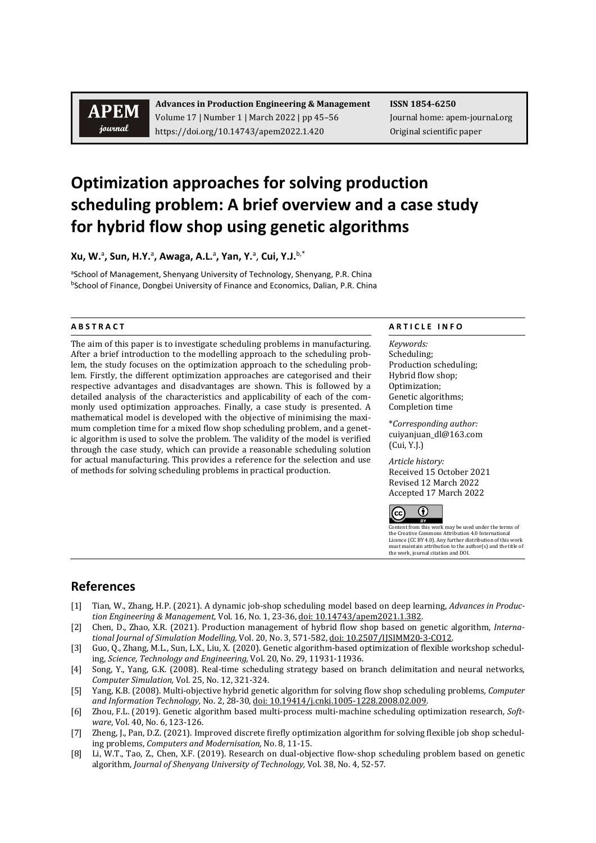# **APEM** journal

**Advances in Production Engineering & Management ISSN 1854-6250** Volume 17 | Number 1 | March 2022 | pp 45–56 Journal home: apem-journal.org https://doi.org/10.14743/apem2022.1.420 Original scientific paper

# **Optimization approaches for solving production scheduling problem: A brief overview and a case study for hybrid flow shop using genetic algorithms**

**Xu, W.**<sup>a</sup> **, Sun, H.Y.**<sup>a</sup> **, Awaga, A.L.**<sup>a</sup> **, Yan, Y.**<sup>a</sup> , **Cui, Y.J.** b,\*

aSchool of Management, Shenyang University of Technology, Shenyang, P.R. China bSchool of Finance, Dongbei University of Finance and Economics, Dalian, P.R. China

The aim of this paper is to investigate scheduling problems in manufacturing. After a brief introduction to the modelling approach to the scheduling problem, the study focuses on the optimization approach to the scheduling problem. Firstly, the different optimization approaches are categorised and their respective advantages and disadvantages are shown. This is followed by a detailed analysis of the characteristics and applicability of each of the commonly used optimization approaches. Finally, a case study is presented. A mathematical model is developed with the objective of minimising the maximum completion time for a mixed flow shop scheduling problem, and a genetic algorithm is used to solve the problem. The validity of the model is verified through the case study, which can provide a reasonable scheduling solution for actual manufacturing. This provides a reference for the selection and use of methods for solving scheduling problems in practical production.

### **A B S T R A C T A R T I C L E I N F O**

*Keywords:* Scheduling; Production scheduling; Hybrid flow shop; Optimization; Genetic algorithms; Completion time

\**Corresponding author:*  cuiyanjuan\_dl@163.com (Cui, Y.J.)

*Article history:*  Received 15 October 2021 Revised 12 March 2022 Accepted 17 March 2022



Content from this work may be used under the terms of the Creative Commons Attribution 4.0 International Licence (CC BY 4.0). Any further distribution of this work must maintain attribution to the author(s) and the title of the work, journal citation and DOI.

## **References**

- [1] Tian, W., Zhang, H.P. (2021). A dynamic job-shop scheduling model based on deep learning, *Advances in Production Engineering & Management,* Vol. 16, No. 1, 23-36[, doi: 10.14743/apem2021.1.382.](https://doi.org/10.14743/apem2021.1.382)
- [2] Chen, D., Zhao, X.R. (2021). Production management of hybrid flow shop based on genetic algorithm, *International Journal of Simulation Modelling,* Vol. 20, No. 3, 571-582[, doi: 10.2507/IJSIMM20-3-CO12.](https://doi.org/10.2507/IJSIMM20-3-CO12)
- [3] Guo, Q., Zhang, M.L., Sun, L.X., Liu, X. (2020). Genetic algorithm-based optimization of flexible workshop scheduling, *Science, Technology and Engineering,* Vol. 20, No. 29, 11931-11936.
- [4] Song, Y., Yang, G.K. (2008). Real-time scheduling strategy based on branch delimitation and neural networks, *Computer Simulation,* Vol. 25, No. 12, 321-324.
- [5] Yang, K.B. (2008). Multi-objective hybrid genetic algorithm for solving flow shop scheduling problems*, Computer and Information Technology,* No. 2, 28-30[, doi: 10.19414/j.cnki.1005-1228.2008.02.009.](https://doi.org/10.19414/j.cnki.1005-1228.2008.02.009)
- [6] Zhou, F.L. (2019). Genetic algorithm based multi-process multi-machine scheduling optimization research, *Software*, Vol. 40, No. 6, 123-126.
- [7] Zheng, J., Pan, D.Z. (2021). Improved discrete firefly optimization algorithm for solving flexible job shop scheduling problems, *Computers and Modernisation,* No. 8, 11-15.
- [8] Li, W.T., Tao, Z., Chen, X.F. (2019). Research on dual-objective flow-shop scheduling problem based on genetic algorithm, *Journal of Shenyang University of Technology,* Vol. 38, No. 4, 52-57.